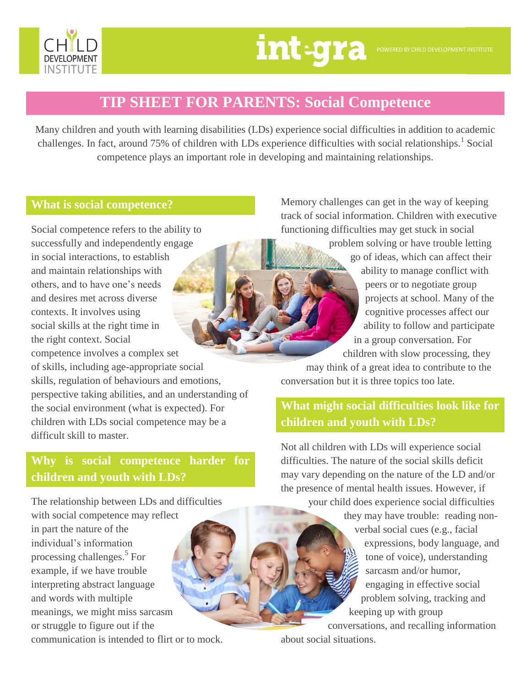

# **TIP SHEET FOR PARENTS: Social Competence**

Many children and youth with learning disabilities (LDs) experience social difficulties in addition to academic challenges. In fact, around 75% of children with LDs experience difficulties with social relationships.<sup>1</sup> Social competence plays an important role in developing and maintaining relationships.

### **What is social competence?**

Social competence refers to the ability to successfully and independently engage in social interactions, to establish and maintain relationships with others, and to have one's needs and desires met across diverse contexts. It involves using social skills at the right time in the right context. Social competence involves a complex set of skills, including age-appropriate social skills, regulation of behaviours and emotions, perspective taking abilities, and an understanding of the social environment (what is expected). For children with LDs social competence may be a difficult skill to master.

# **Why is social competence harder for children and youth with LDs?**

The relationship between LDs and difficulties

with social competence may reflect in part the nature of the individual's information processing challenges.<sup>5</sup> For example, if we have trouble interpreting abstract language and words with multiple meanings, we might miss sarcasm or struggle to figure out if the communication is intended to flirt or to mock. Memory challenges can get in the way of keeping track of social information. Children with executive functioning difficulties may get stuck in social

> problem solving or have trouble letting go of ideas, which can affect their ability to manage conflict with peers or to negotiate group projects at school. Many of the cognitive processes affect our ability to follow and participate in a group conversation. For

children with slow processing, they may think of a great idea to contribute to the conversation but it is three topics too late.

# **What might social difficulties look like for children and youth with LDs?**

Not all children with LDs will experience social difficulties. The nature of the social skills deficit may vary depending on the nature of the LD and/or the presence of mental health issues. However, if

> your child does experience social difficulties they may have trouble: reading nonverbal social cues (e.g., facial expressions, body language, and tone of voice), understanding sarcasm and/or humor, engaging in effective social problem solving, tracking and keeping up with group

conversations, and recalling information about social situations.